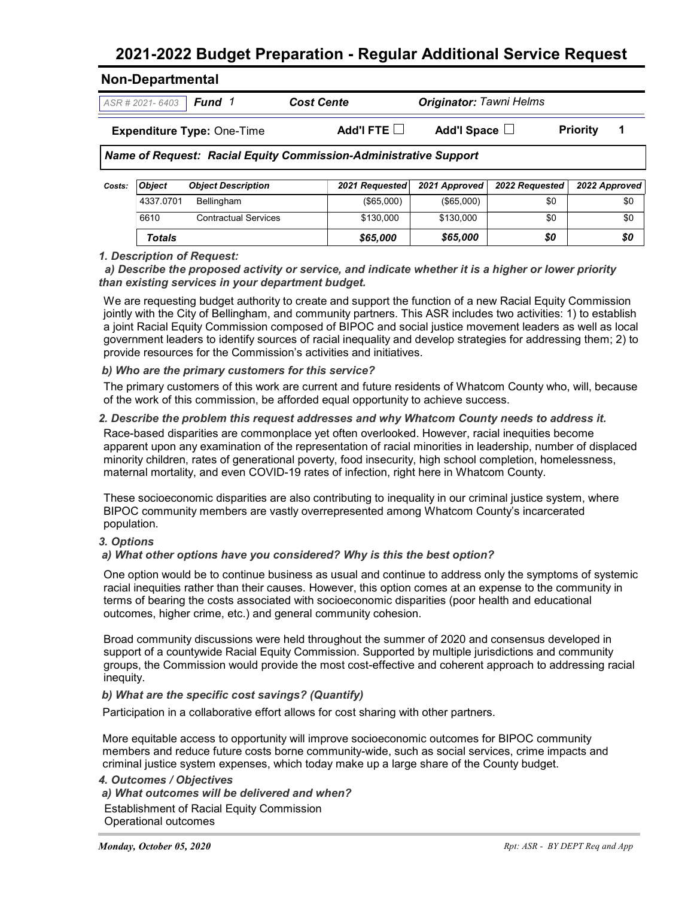## **2021-2022 Budget Preparation - Regular Additional Service Request**

| $ASR # 2021 - 6403$ <b>Fund 1</b><br><b>Expenditure Type: One-Time</b> |  | <b>Cost Cente</b>                                                | <b>Originator: Tawni Helms</b> | <b>Priority</b> |  |
|------------------------------------------------------------------------|--|------------------------------------------------------------------|--------------------------------|-----------------|--|
|                                                                        |  | Add'l FTE $\Box$                                                 | Add'l Space $\Box$             |                 |  |
|                                                                        |  | Name of Request: Racial Equity Commission-Administrative Support |                                |                 |  |

| Costs: | <b>Object</b> | <b>Object Description</b>   | 2021 Reauested | 2021 Approved | 2022 Reauested | 2022 Approved |
|--------|---------------|-----------------------------|----------------|---------------|----------------|---------------|
|        | 4337.0701     | Bellingham                  | $($ \$65,000)  | $($ \$65,000) | \$0            | \$0           |
|        | 6610          | <b>Contractual Services</b> | \$130,000      | \$130,000     | \$0            | \$0           |
|        | <b>Totals</b> |                             | \$65,000       | \$65,000      | \$0            | \$0           |

### *1. Description of Request:*

 *a) Describe the proposed activity or service, and indicate whether it is a higher or lower priority than existing services in your department budget.*

We are requesting budget authority to create and support the function of a new Racial Equity Commission jointly with the City of Bellingham, and community partners. This ASR includes two activities: 1) to establish a joint Racial Equity Commission composed of BIPOC and social justice movement leaders as well as local government leaders to identify sources of racial inequality and develop strategies for addressing them; 2) to provide resources for the Commission's activities and initiatives.

#### *b) Who are the primary customers for this service?*

The primary customers of this work are current and future residents of Whatcom County who, will, because of the work of this commission, be afforded equal opportunity to achieve success.

#### *2. Describe the problem this request addresses and why Whatcom County needs to address it.*

Race-based disparities are commonplace yet often overlooked. However, racial inequities become apparent upon any examination of the representation of racial minorities in leadership, number of displaced minority children, rates of generational poverty, food insecurity, high school completion, homelessness, maternal mortality, and even COVID-19 rates of infection, right here in Whatcom County.

These socioeconomic disparities are also contributing to inequality in our criminal justice system, where BIPOC community members are vastly overrepresented among Whatcom County's incarcerated population.

#### *3. Options*

#### *a) What other options have you considered? Why is this the best option?*

One option would be to continue business as usual and continue to address only the symptoms of systemic racial inequities rather than their causes. However, this option comes at an expense to the community in terms of bearing the costs associated with socioeconomic disparities (poor health and educational outcomes, higher crime, etc.) and general community cohesion.

Broad community discussions were held throughout the summer of 2020 and consensus developed in support of a countywide Racial Equity Commission. Supported by multiple jurisdictions and community groups, the Commission would provide the most cost-effective and coherent approach to addressing racial inequity.

#### *b) What are the specific cost savings? (Quantify)*

Participation in a collaborative effort allows for cost sharing with other partners.

More equitable access to opportunity will improve socioeconomic outcomes for BIPOC community members and reduce future costs borne community-wide, such as social services, crime impacts and criminal justice system expenses, which today make up a large share of the County budget.

*4. Outcomes / Objectives a) What outcomes will be delivered and when?* Establishment of Racial Equity Commission Operational outcomes